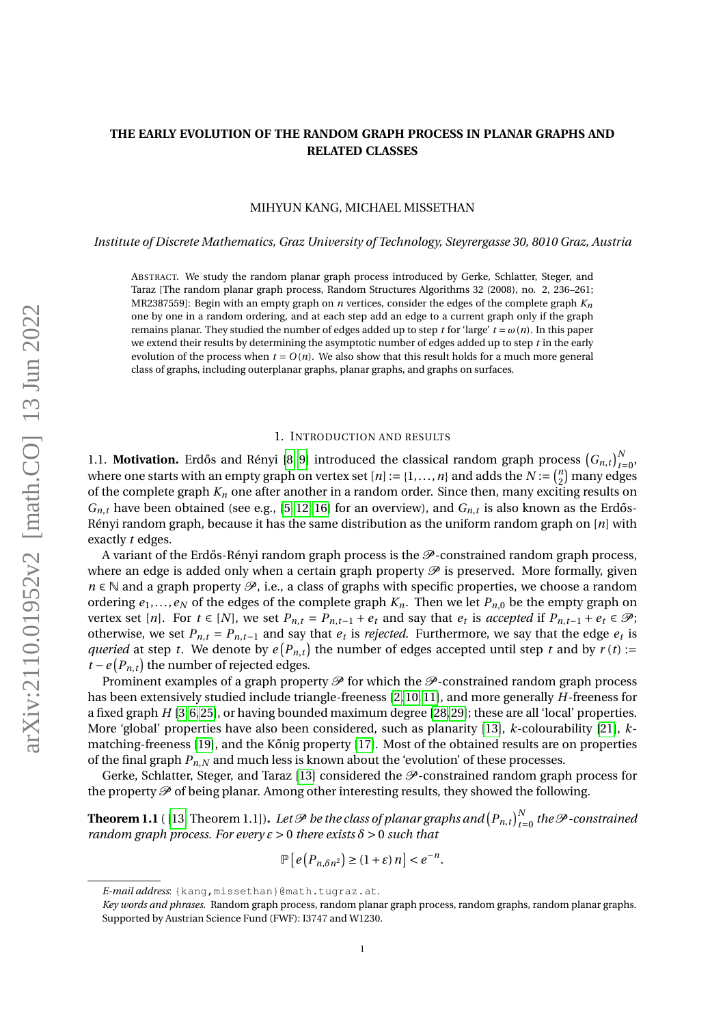## **THE EARLY EVOLUTION OF THE RANDOM GRAPH PROCESS IN PLANAR GRAPHS AND RELATED CLASSES**

## MIHYUN KANG, MICHAEL MISSETHAN

*Institute of Discrete Mathematics, Graz University of Technology, Steyrergasse 30, 8010 Graz, Austria*

ABSTRACT. We study the random planar graph process introduced by Gerke, Schlatter, Steger, and Taraz [The random planar graph process, Random Structures Algorithms 32 (2008), no. 2, 236–261; MR2387559]: Begin with an empty graph on *n* vertices, consider the edges of the complete graph *Kn* one by one in a random ordering, and at each step add an edge to a current graph only if the graph remains planar. They studied the number of edges added up to step *t* for 'large'  $t = \omega(n)$ . In this paper we extend their results by determining the asymptotic number of edges added up to step *t* in the early evolution of the process when  $t = O(n)$ . We also show that this result holds for a much more general class of graphs, including outerplanar graphs, planar graphs, and graphs on surfaces.

#### 1. INTRODUCTION AND RESULTS

<span id="page-0-1"></span>1.1. **Motivation.** Erdős and Rényi [\[8,](#page-11-0) [9\]](#page-11-1) introduced the classical random graph process  $(G_{n,t})_{t=0}^N$ , where one starts with an empty graph on vertex set  $[n] := \{1, \ldots, n\}$  and adds the  $N := \binom{n}{2}$  $\binom{n}{2}$  many edges of the complete graph  $K_n$  one after another in a random order. Since then, many exciting results on  $G_{n,t}$  have been obtained (see e.g., [\[5,](#page-11-2) [12,](#page-11-3) [16\]](#page-12-0) for an overview), and  $G_{n,t}$  is also known as the Erdős-Rényi random graph, because it has the same distribution as the uniform random graph on [*n*] with exactly *t* edges.

A variant of the Erdős-Rényi random graph process is the  $\mathcal{P}$ -constrained random graph process, where an edge is added only when a certain graph property  $\mathcal P$  is preserved. More formally, given  $n \in \mathbb{N}$  and a graph property  $\mathcal{P}$ , i.e., a class of graphs with specific properties, we choose a random ordering  $e_1, \ldots, e_N$  of the edges of the complete graph  $K_n$ . Then we let  $P_{n,0}$  be the empty graph on vertex set [n]. For  $t \in [N]$ , we set  $P_{n,t} = P_{n,t-1} + e_t$  and say that  $e_t$  is accepted if  $P_{n,t-1} + e_t \in \mathcal{P}$ ; otherwise, we set  $P_{n,t} = P_{n,t-1}$  and say that  $e_t$  is *rejected*. Furthermore, we say that the edge  $e_t$  is *queried* at step *t*. We denote by  $e(P_{n,t})$  the number of edges accepted until step *t* and by  $r(t)$  :=  $t - e(P_{n,t})$  the number of rejected edges.

Prominent examples of a graph property  $\mathcal P$  for which the  $\mathcal P$ -constrained random graph process has been extensively studied include triangle-freeness [\[2,](#page-11-4) [10,](#page-11-5) [11\]](#page-11-6), and more generally *H*-freeness for a fixed graph *H* [\[3,](#page-11-7)[6,](#page-11-8)[25\]](#page-12-1), or having bounded maximum degree [\[28,](#page-12-2)[29\]](#page-12-3); these are all 'local' properties. More 'global' properties have also been considered, such as planarity [\[13\]](#page-11-9), *k*-colourability [\[21\]](#page-12-4), *k*-matching-freeness [\[19\]](#page-12-5), and the Kőnig property [\[17\]](#page-12-6). Most of the obtained results are on properties of the final graph  $P_{n,N}$  and much less is known about the 'evolution' of these processes.

Gerke, Schlatter, Steger, and Taraz [\[13\]](#page-11-9) considered the  $\mathcal{P}$ -constrained random graph process for the property  $\mathcal P$  of being planar. Among other interesting results, they showed the following.

<span id="page-0-0"></span> $\bf{Theorem 1.1}$  (  $[13, Theorem 1.1]$  $[13, Theorem 1.1]$  ). Let  ${\mathscr P}$  be the class of planar graphs and  $\left(P_{n,t}\right)_{t=0}^N$  the  ${\mathscr P}$  -constrained *random graph process. For every*  $\varepsilon > 0$  *there exists*  $\delta > 0$  *such that* 

$$
\mathbb{P}\left[e\left(P_{n,\delta n^2}\right)\geq (1+\varepsilon)\,n\right]
$$

*E-mail address*: {kang,missethan}@math.tugraz.at.

*Key words and phrases.* Random graph process, random planar graph process, random graphs, random planar graphs. Supported by Austrian Science Fund (FWF): I3747 and W1230.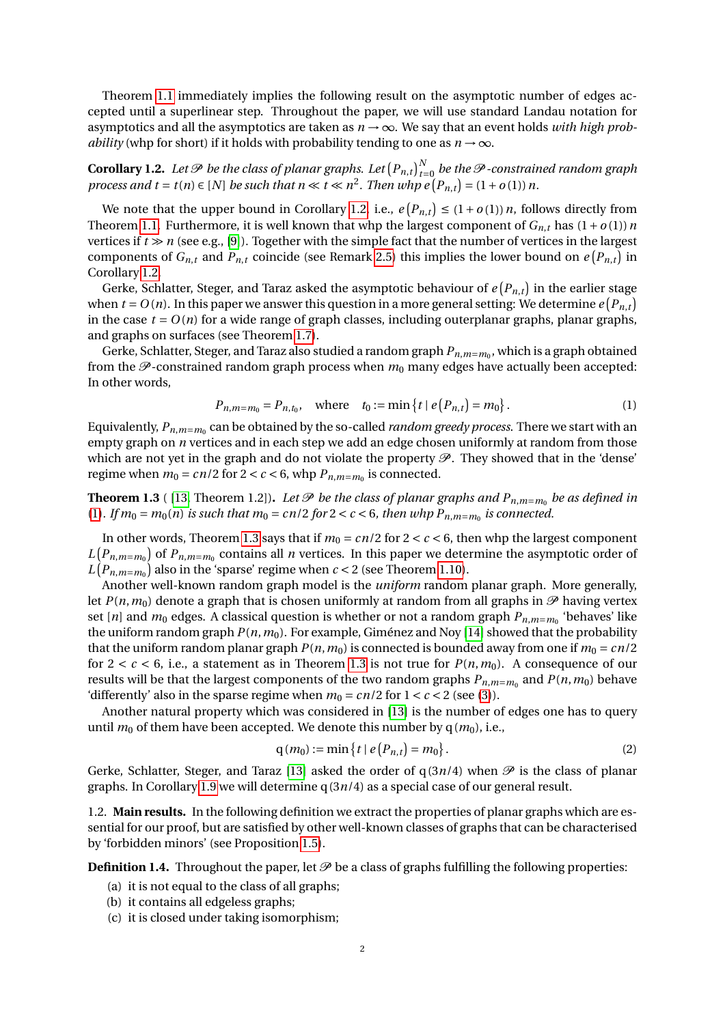Theorem [1.1](#page-0-0) immediately implies the following result on the asymptotic number of edges accepted until a superlinear step. Throughout the paper, we will use standard Landau notation for asymptotics and all the asymptotics are taken as  $n \rightarrow \infty$ . We say that an event holds *with high probability* (whp for short) if it holds with probability tending to one as  $n \rightarrow \infty$ .

<span id="page-1-0"></span>**Corollary 1.2.** Let  $\mathscr P$  be the class of planar graphs. Let  $\left(P_{n,t}\right)_{t=0}^N$  be the  $\mathscr P$  -constrained random graph *process and t* = *t*(*n*)  $\in$  [*N*] *be such that n*  $\ll$  *t*  $\ll$  *n*<sup>2</sup>. *Then whp e*  $(P_{n,t}) = (1 + o(1)) n$ .

We note that the upper bound in Corollary [1.2,](#page-1-0) i.e.,  $e(P_{n,t}) \leq (1+o(1))n$ , follows directly from Theorem [1.1.](#page-0-0) Furthermore, it is well known that whp the largest component of  $G_{n,t}$  has  $(1+o(1))n$ vertices if  $t \gg n$  (see e.g., [\[9\]](#page-11-1)). Together with the simple fact that the number of vertices in the largest components of  $G_{n,t}$  and  $P_{n,t}$  coincide (see Remark [2.5\)](#page-5-0) this implies the lower bound on  $e(P_{n,t})$  in Corollary [1.2.](#page-1-0)

Gerke, Schlatter, Steger, and Taraz asked the asymptotic behaviour of  $e\left(P_{n,t}\right)$  in the earlier stage when  $t = O(n)$ . In this paper we answer this question in a more general setting: We determine  $e(P_{n,t})$ in the case  $t = O(n)$  for a wide range of graph classes, including outerplanar graphs, planar graphs, and graphs on surfaces (see Theorem [1.7\)](#page-2-0).

Gerke, Schlatter, Steger, and Taraz also studied a random graph  $P_{n,m=m_0}$ , which is a graph obtained from the  $\mathcal{P}$ -constrained random graph process when  $m_0$  many edges have actually been accepted: In other words,

<span id="page-1-1"></span>
$$
P_{n,m=m_0} = P_{n,t_0}, \quad \text{where} \quad t_0 := \min\left\{ t \mid e\left(P_{n,t}\right) = m_0 \right\}. \tag{1}
$$

Equivalently,  ${P}_{n,m=m_0}$  can be obtained by the so-called *random greedy process*. There we start with an empty graph on *n* vertices and in each step we add an edge chosen uniformly at random from those which are not yet in the graph and do not violate the property  $\mathscr P$ . They showed that in the 'dense' regime when  $m_0 = cn/2$  for  $2 < c < 6$ , whp  $P_{n,m=m_0}$  is connected.

<span id="page-1-2"></span>**Theorem 1.3** ( [\[13,](#page-11-9) Theorem 1.2]). Let  $\mathscr P$  be the class of planar graphs and  $P_{n,m=m_0}$  be as defined in [\(1\)](#page-1-1). If  $m_0 = m_0(n)$  is such that  $m_0 = cn/2$  for  $2 < c < 6$ , then whp  $P_{n,m=m_0}$  is connected.

In other words, Theorem [1.3](#page-1-2) says that if  $m_0 = cn/2$  for  $2 < c < 6$ , then whp the largest component  $L(P_{n,m=m_0})$  of  $P_{n,m=m_0}$  contains all *n* vertices. In this paper we determine the asymptotic order of  $L(P_{n,m=m_0})$  also in the 'sparse' regime when  $c < 2$  (see Theorem [1.10\)](#page-3-0).

Another well-known random graph model is the *uniform* random planar graph. More generally, let  $P(n, m_0)$  denote a graph that is chosen uniformly at random from all graphs in  $\mathcal{P}$  having vertex set [*n*] and *m*<sup>0</sup> edges. A classical question is whether or not a random graph *Pn*,*m*=*m*<sup>0</sup> 'behaves' like the uniform random graph *P*(*n*,*m*0). For example, Giménez and Noy [\[14\]](#page-11-10) showed that the probability that the uniform random planar graph  $P(n, m_0)$  is connected is bounded away from one if  $m_0 = cn/2$ for  $2 < c < 6$ , i.e., a statement as in Theorem [1.3](#page-1-2) is not true for  $P(n, m_0)$ . A consequence of our results will be that the largest components of the two random graphs  $P_{n,m=m_0}$  and  $P(n,m_0)$  behave 'differently' also in the sparse regime when  $m_0 = cn/2$  for  $1 < c < 2$  (see [\(3\)](#page-3-1)).

Another natural property which was considered in [\[13\]](#page-11-9) is the number of edges one has to query until  $m_0$  of them have been accepted. We denote this number by  $q(m_0)$ , i.e.,

<span id="page-1-5"></span>
$$
q(m_0) := \min\{t \mid e(P_{n,t}) = m_0\}.
$$
 (2)

Gerke, Schlatter, Steger, and Taraz [\[13\]](#page-11-9) asked the order of  $q(3n/4)$  when  $\mathscr P$  is the class of planar graphs. In Corollary [1.9](#page-3-2) we will determine q(3*n*/4) as a special case of our general result.

1.2. **Main results.** In the following definition we extract the properties of planar graphs which are essential for our proof, but are satisfied by other well-known classes of graphs that can be characterised by 'forbidden minors' (see Proposition [1.5\)](#page-2-1).

<span id="page-1-4"></span><span id="page-1-3"></span>**Definition 1.4.** Throughout the paper, let  $\mathcal{P}$  be a class of graphs fulfilling the following properties:

- (a) it is not equal to the class of all graphs;
- <span id="page-1-6"></span>(b) it contains all edgeless graphs;
- <span id="page-1-7"></span>(c) it is closed under taking isomorphism;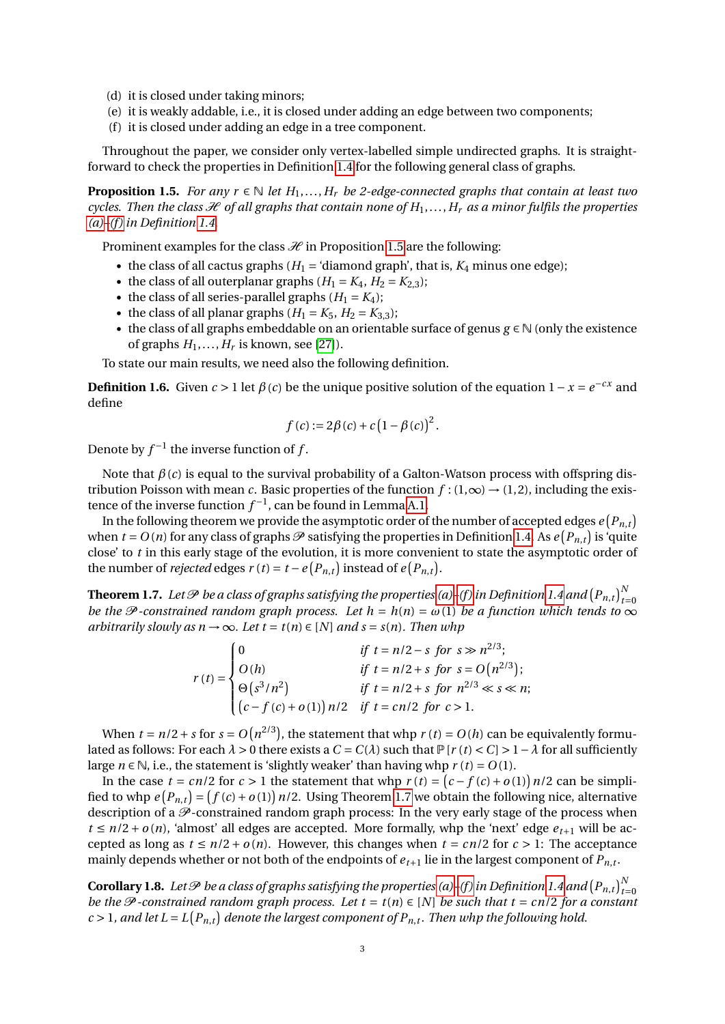- <span id="page-2-6"></span>(d) it is closed under taking minors;
- <span id="page-2-5"></span>(e) it is weakly addable, i.e., it is closed under adding an edge between two components;
- <span id="page-2-2"></span>(f) it is closed under adding an edge in a tree component.

Throughout the paper, we consider only vertex-labelled simple undirected graphs. It is straightforward to check the properties in Definition [1.4](#page-1-3) for the following general class of graphs.

<span id="page-2-1"></span>**Proposition 1.5.** *For any r*  $\in \mathbb{N}$  *let*  $H_1, \ldots, H_r$  *be 2-edge-connected graphs that contain at least two cycles. Then the class*  $\mathcal H$  *of all graphs that contain none of*  $H_1, \ldots, H_r$  *as a minor fulfils the properties [\(a\)–](#page-1-4)[\(f \)](#page-2-2) in Definition [1.4.](#page-1-3)*

Prominent examples for the class  $\mathcal H$  in Proposition [1.5](#page-2-1) are the following:

- the class of all cactus graphs  $(H_1 = 'diamond)$  graph', that is,  $K_4$  minus one edge);
- the class of all outerplanar graphs  $(H_1 = K_4, H_2 = K_{2,3})$ ;
- the class of all series-parallel graphs  $(H_1 = K_4)$ ;
- the class of all planar graphs  $(H_1 = K_5, H_2 = K_{3,3})$ ;
- the class of all graphs embeddable on an orientable surface of genus *g* ∈ N (only the existence of graphs  $H_1, \ldots, H_r$  is known, see [\[27\]](#page-12-7)).

To state our main results, we need also the following definition.

<span id="page-2-4"></span>**Definition 1.6.** Given  $c > 1$  let  $\beta(c)$  be the unique positive solution of the equation  $1 - x = e^{-cx}$  and define

$$
f(c) := 2\beta(c) + c(1 - \beta(c))^2
$$
.

Denote by  $f^{-1}$  the inverse function of  $f$ .

Note that *β*(*c*) is equal to the survival probability of a Galton-Watson process with offspring distribution Poisson with mean *c*. Basic properties of the function  $f : (1, \infty) \to (1, 2)$ , including the existence of the inverse function  $f^{-1}$ , can be found in Lemma [A.1.](#page-13-0)

In the following theorem we provide the asymptotic order of the number of accepted edges  $e \left( P_{n,t} \right)$ when  $t = O(n)$  for any class of graphs  $\mathscr P$  satisfying the properties in Definition [1.4.](#page-1-3) As  $e(P_{n,t})$  is 'quite close' to *t* in this early stage of the evolution, it is more convenient to state the asymptotic order of the number of *rejected* edges  $r(t) = t - e(P_{n,t})$  instead of  $e(P_{n,t})$ .

<span id="page-2-0"></span>**Theorem 1.7.** Let  ${\mathscr P}$  be a class of graphs satisfying the properties [\(a\)–](#page-1-4)(f) in Definition [1.4](#page-1-3) and  $\left(P_{n,t}\right)_{t=0}^N$ *be the*  $\mathcal P$  *-constrained random graph process. Let*  $h = h(n) = \omega(1)$  *be a function which tends to*  $\infty$ *arbitrarily slowly as*  $n \rightarrow \infty$ *. Let*  $t = t(n) \in [N]$  *and*  $s = s(n)$ *. Then whp* 

> $r(t) =$  $\sqrt{ }$  $\int$  $\overline{\mathcal{L}}$ 0 *if t* =  $n/2 - s$  *for*  $s \gg n^{2/3}$ ;  $O(h)$  *if t* =  $n/2 + s$  *for*  $s = O(n^{2/3})$ ;  $\Theta(s^3/n^2)$  *if t* =  $n/2 + s$  for  $n^{2/3} \ll s \ll n;$  $(c - f(c) + o(1))$  *n*/2 *if t* = *cn*/2 *for c* > 1.

When  $t = n/2 + s$  for  $s = O(n^{2/3})$ , the statement that whp  $r(t) = O(h)$  can be equivalently formulated as follows: For each  $\lambda > 0$  there exists a  $C = C(\lambda)$  such that  $P[r(t) < C] > 1 - \lambda$  for all sufficiently large  $n \in \mathbb{N}$ , i.e., the statement is 'slightly weaker' than having whp  $r(t) = O(1)$ .

In the case  $t = cn/2$  for  $c > 1$  the statement that whp  $r(t) = (c - f(c) + o(1))n/2$  can be simplified to whp  $e(P_{n,t}) = (f(c) + o(1)) n/2$ . Using Theorem [1.7](#page-2-0) we obtain the following nice, alternative description of a  $\mathcal P$ -constrained random graph process: In the very early stage of the process when  $t \leq n/2 + o(n)$ , 'almost' all edges are accepted. More formally, whp the 'next' edge  $e_{t+1}$  will be accepted as long as  $t \leq n/2 + o(n)$ . However, this changes when  $t = cn/2$  for  $c > 1$ : The acceptance mainly depends whether or not both of the endpoints of  $e_{t+1}$  lie in the largest component of  $P_{n,t}$ .

<span id="page-2-3"></span>**Corollary 1.8.** Let  ${\cal P}$  be a class of graphs satisfying the properties [\(a\)](#page-1-4)–(f) in Definition [1.4](#page-1-3) and  $\left(P_{n,t}\right)_{t=0}^N$ *be the*  $\mathcal P$ -constrained random graph process. Let  $t = t(n) \in [N]$  be such that  $t = cn/2$  for a constant  $c > 1$ , and let  $L = L(P_{n,t})$  denote the largest component of  $P_{n,t}$ . Then whp the following hold.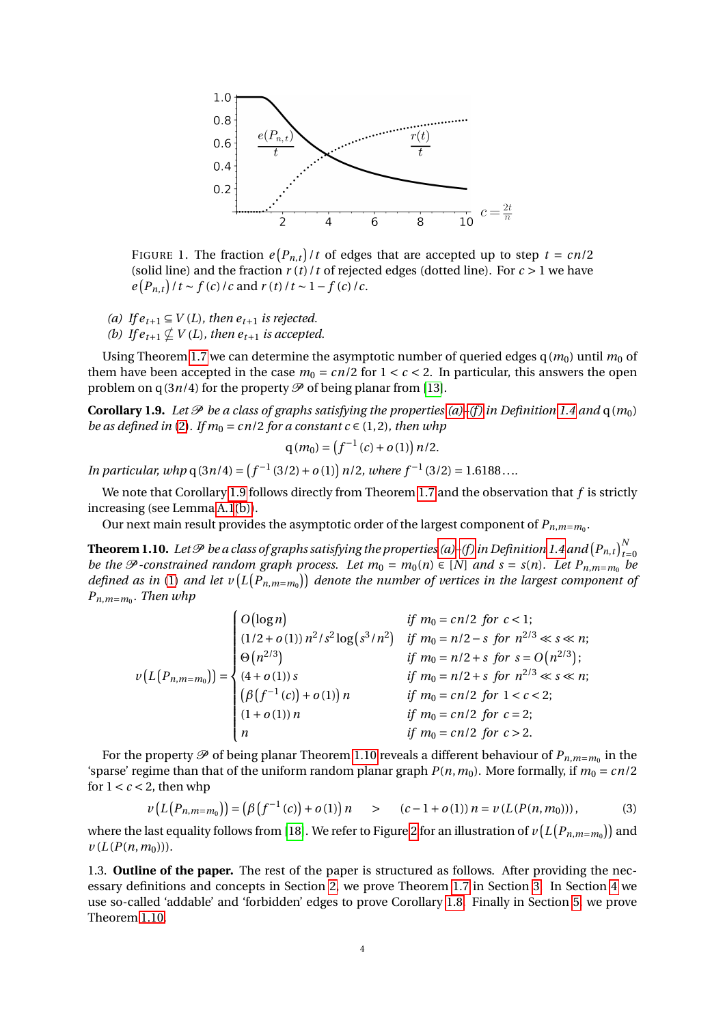

FIGURE 1. The fraction  $e(P_{n,t})/t$  of edges that are accepted up to step  $t = cn/2$ (solid line) and the fraction  $r(t)/t$  of rejected edges (dotted line). For  $c > 1$  we have  $e(P_{n,t})/t \sim f(c)/c$  and  $r(t)/t \sim 1-f(c)/c$ .

- <span id="page-3-4"></span>*(a) If*  $e_{t+1} \subseteq V(L)$ *, then*  $e_{t+1}$  *is rejected.*
- <span id="page-3-3"></span>*(b) If*  $e_{t+1} \not\subset V(L)$ *, then*  $e_{t+1}$  *is accepted.*

Using Theorem [1.7](#page-2-0) we can determine the asymptotic number of queried edges  $q(m_0)$  until  $m_0$  of them have been accepted in the case  $m_0 = cn/2$  for  $1 < c < 2$ . In particular, this answers the open problem on  $q(3n/4)$  for the property  $\mathscr P$  of being planar from [\[13\]](#page-11-9).

<span id="page-3-2"></span>**Corollary 1.9.** Let  $\mathcal{P}$  be a class of graphs satisfying the properties [\(a\)–](#page-1-4)(f) in Definition [1.4](#page-1-3) and  $q(m_0)$ *be as defined in* [\(2\)](#page-1-5). If  $m_0 = cn/2$  for a constant  $c \in (1, 2)$ , then whp

$$
q(m_0) = (f^{-1}(c) + o(1)) n/2.
$$

*In particular, whp*  $q(3n/4) = (f^{-1}(3/2) + o(1))$  *n*/2*, where*  $f^{-1}(3/2) = 1.6188...$ 

We note that Corollary [1.9](#page-3-2) follows directly from Theorem [1.7](#page-2-0) and the observation that *f* is strictly increasing (see Lemma [A.1](#page-13-0)[\(b\)\)](#page-13-1).

Our next main result provides the asymptotic order of the largest component of  $P_{n,m=m_0}$ .

<span id="page-3-0"></span>**Theorem 1.10.** Let  $\mathscr P$  be a class of graphs satisfying the properties [\(a\)](#page-1-4)–(f) in Definition [1.4](#page-1-3) and  $\left(P_{n,t}\right)_{t=0}^N$ *be the*  $\mathcal{P}$ -constrained random graph process. Let  $m_0 = m_0(n) \in [N]$  and  $s = s(n)$ . Let  $P_{n,m=m_0}$  be defined as in [\(1\)](#page-1-1) and let  $v(L(P_{n,m=m_0}))$  denote the number of vertices in the largest component of *Pn*,*m*=*m*<sup>0</sup> *. Then whp*

| $(L(P_{n,m=m_0})) = \begin{cases} \mathfrak{S}(n^{2/3}) \\ (4+o(1)) s \\ (\beta(f^{-1}(c))+o(1)) n \\ (1+o(1)) n \end{cases}$ | $\begin{cases} O\bigl(\log n\bigr) & \text{if } m_0 = cn/2 \text{ for } c < 1; \\ (1/2 + o(1))\, n^2/s^2 \log\bigl(s^3/n^2\bigr) & \text{if } m_0 = n/2 - s \text{ for } n^{2/3} \ll s \ll n; \\ \Theta\bigl(n^{2/3}\bigr) & \text{if } m_0 = n/2 + s \text{ for } s = O\bigl(n^{2/3}\bigr); \end{cases}$ |
|-------------------------------------------------------------------------------------------------------------------------------|-----------------------------------------------------------------------------------------------------------------------------------------------------------------------------------------------------------------------------------------------------------------------------------------------------------|
|                                                                                                                               | if $m_0 = n/2 + s$ for $n^{2/3} \ll s \ll n$ ;                                                                                                                                                                                                                                                            |
|                                                                                                                               | <i>if</i> $m_0 = cn/2$ <i>for</i> $1 < c < 2$ ;                                                                                                                                                                                                                                                           |
|                                                                                                                               | <i>if</i> $m_0 = cn/2$ <i>for</i> $c = 2$ ;                                                                                                                                                                                                                                                               |
|                                                                                                                               | if $m_0 = cn/2$ for $c > 2$ .                                                                                                                                                                                                                                                                             |

For the property  ${\mathscr P}$  of being planar Theorem [1.10](#page-3-0) reveals a different behaviour of  ${P}_{n,m=m_0}$  in the 'sparse' regime than that of the uniform random planar graph  $P(n, m_0)$ . More formally, if  $m_0 = cn/2$ for  $1 < c < 2$ , then whp

<span id="page-3-1"></span>
$$
\nu(L(P_{n,m=m_0})) = (\beta(f^{-1}(c)) + o(1)) n \qquad > \qquad (c-1+o(1)) n = \nu(L(P(n,m_0))), \qquad (3)
$$

where the last equality follows from [\[18\]](#page-12-8). We refer to Figure [2](#page-4-0) for an illustration of  $v\left( L\left( P_{n,m=m_{0}}\right) \right)$  and  $\nu$  ( $L(P(n, m_0))$ ).

1.3. **Outline of the paper.** The rest of the paper is structured as follows. After providing the necessary definitions and concepts in Section [2,](#page-4-1) we prove Theorem [1.7](#page-2-0) in Section [3.](#page-6-0) In Section [4](#page-9-0) we use so-called 'addable' and 'forbidden' edges to prove Corollary [1.8.](#page-2-3) Finally in Section [5,](#page-11-11) we prove Theorem [1.10.](#page-3-0)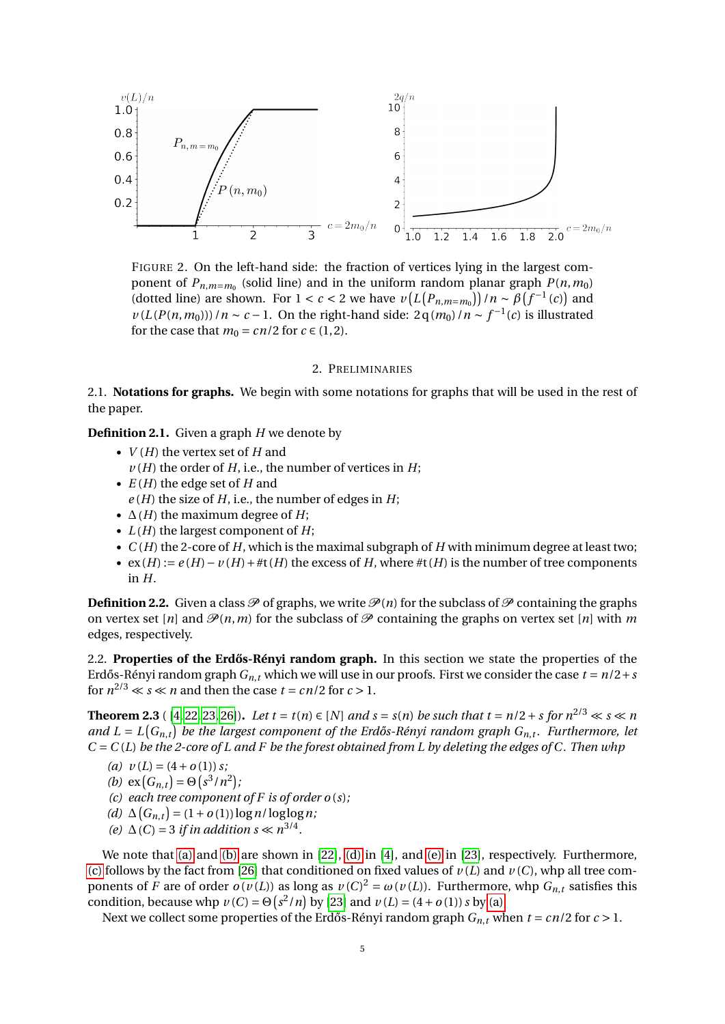<span id="page-4-0"></span>

FIGURE 2. On the left-hand side: the fraction of vertices lying in the largest component of  $P_{n,m=m_0}$  (solid line) and in the uniform random planar graph  $P(n,m_0)$ (dotted line) are shown. For  $1 < c < 2$  we have  $\nu(L(P_{n,m=m_0})) / n \sim \beta(f^{-1}(c))$  and  $\nu(L(P(n, m_0)))/n \sim c - 1$ . On the right-hand side:  $2q(m_0)/n \sim f^{-1}(c)$  is illustrated for the case that  $m_0 = cn/2$  for  $c \in (1, 2)$ .

## 2. PRELIMINARIES

<span id="page-4-1"></span>2.1. **Notations for graphs.** We begin with some notations for graphs that will be used in the rest of the paper.

**Definition 2.1.** Given a graph *H* we denote by

- *V* (*H*) the vertex set of *H* and
- $\nu$  (*H*) the order of *H*, i.e., the number of vertices in *H*;
- *E* (*H*) the edge set of *H* and
- $e(H)$  the size of *H*, i.e., the number of edges in *H*;
- $\Delta(H)$  the maximum degree of *H*;
- $L(H)$  the largest component of  $H$ ;
- $\bullet$  *C*(*H*) the 2-core of *H*, which is the maximal subgraph of *H* with minimum degree at least two;
- $ex(H) := e(H) v(H) + \#t(H)$  the excess of *H*, where  $\#t(H)$  is the number of tree components in *H*.

**Definition 2.2.** Given a class  $\mathcal P$  of graphs, we write  $\mathcal P(n)$  for the subclass of  $\mathcal P$  containing the graphs on vertex set [*n*] and  $\mathcal{P}(n,m)$  for the subclass of  $\mathcal P$  containing the graphs on vertex set [*n*] with *m* edges, respectively.

2.2. **Properties of the Erdős-Rényi random graph.** In this section we state the properties of the Erdős-Rényi random graph  $G_n$ , *t* which we will use in our proofs. First we consider the case  $t = n/2 + s$ for  $n^{2/3} \ll s \ll n$  and then the case  $t = cn/2$  for  $c > 1$ .

<span id="page-4-7"></span>**Theorem 2.3** ([\[4,](#page-11-12) [22,](#page-12-9) [23,](#page-12-10) [26\]](#page-12-11)). Let  $t = t(n) \in [N]$  and  $s = s(n)$  be such that  $t = n/2 + s$  for  $n^{2/3} \ll s \ll n$ and  $L = L(G_{n,t})$  be the largest component of the Erdős-Rényi random graph  $G_{n,t}$ . Furthermore, let *C* = *C* (*L*) *be the 2-core of L and F be the forest obtained from L by deleting the edges of C. Then whp*

<span id="page-4-2"></span>(a) 
$$
v(L) = (4 + o(1)) s;
$$

- <span id="page-4-3"></span>*(b)*  $ex(G_{n,t}) = \Theta(s^3/n^2);$
- <span id="page-4-6"></span>*(c) each tree component of F is of order o* (*s*)*;*
- <span id="page-4-4"></span> $(d)$  ∆ $(G_{n,t}) = (1 + o(1)) \log n / \log \log n;$
- <span id="page-4-5"></span>*(e)*  $\Delta(C) = 3$  *if in addition s*  $\ll n^{3/4}$ *.*

We note that [\(a\)](#page-4-2) and [\(b\)](#page-4-3) are shown in [\[22\]](#page-12-9), [\(d\)](#page-4-4) in [\[4\]](#page-11-12), and [\(e\)](#page-4-5) in [\[23\]](#page-12-10), respectively. Furthermore, [\(c\)](#page-4-6) follows by the fact from [\[26\]](#page-12-11) that conditioned on fixed values of  $\nu(L)$  and  $\nu(C)$ , whp all tree components of *F* are of order  $o(v(L))$  as long as  $v(C)^2 = \omega(v(L))$ . Furthermore, whp  $G_{n,t}$  satisfies this condition, because whp  $\nu(C) = \Theta(s^2/n)$  by [\[23\]](#page-12-10) and  $\nu(L) = (4 + o(1)) s$  by [\(a\).](#page-4-2)

<span id="page-4-8"></span>Next we collect some properties of the Erdős-Rényi random graph  $G_{n,t}$  when  $t = cn/2$  for  $c > 1$ .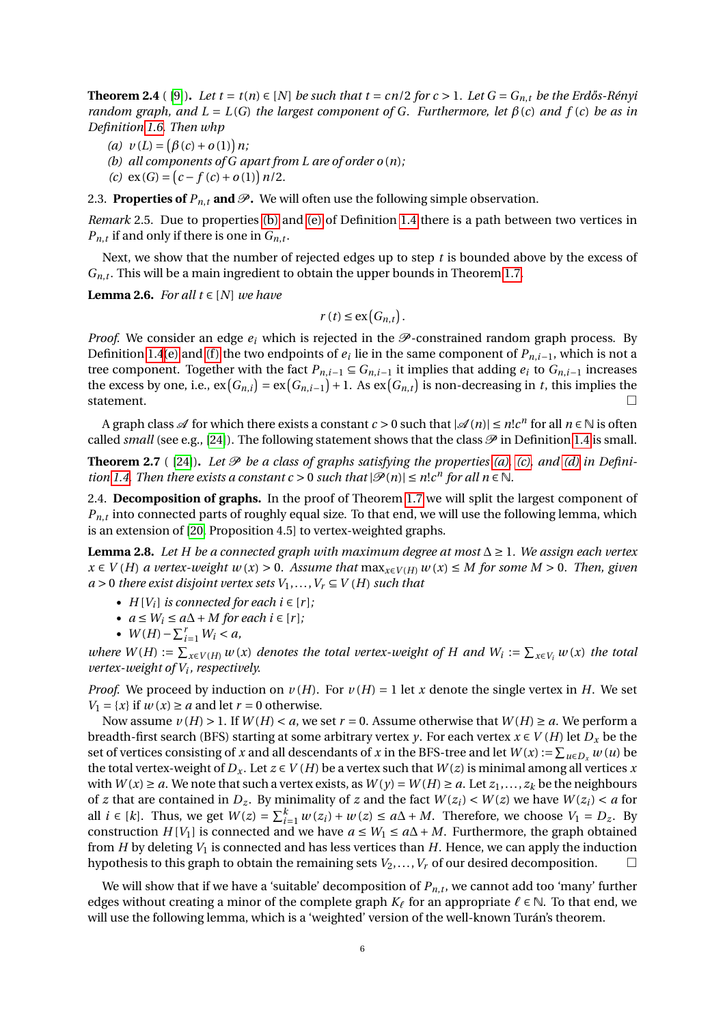**Theorem 2.4** ( [\[9\]](#page-11-1)). Let  $t = t(n) \in [N]$  be such that  $t = cn/2$  for  $c > 1$ . Let  $G = G_{n,t}$  be the Erdős-Rényi *random graph, and L* = *L*(*G*) *the largest component of G. Furthermore, let*  $\beta$ (*c*) *and*  $f$ (*c*) *be as in Definition [1.6.](#page-2-4) Then whp*

- <span id="page-5-6"></span>(*a*)  $v(L) = (\beta(c) + o(1)) n;$
- <span id="page-5-7"></span>*(b) all components of G apart from L are of order o* (*n*)*;*
- <span id="page-5-2"></span> $(c) \exp(G) = (c - f(c) + o(1)) n/2.$

2.3. **Properties of**  $P_{n,t}$  and  $\mathcal{P}$ . We will often use the following simple observation.

<span id="page-5-0"></span>*Remark* 2.5*.* Due to properties [\(b\)](#page-1-6) and [\(e\)](#page-2-5) of Definition [1.4](#page-1-3) there is a path between two vertices in  $P_{n,t}$  if and only if there is one in  $G_{n,t}$ .

Next, we show that the number of rejected edges up to step *t* is bounded above by the excess of  $G_{n,t}$ . This will be a main ingredient to obtain the upper bounds in Theorem [1.7.](#page-2-0)

<span id="page-5-1"></span>**Lemma 2.6.** *For all t* ∈ [*N*] *we have* 

$$
r(t) \le \exp\left(G_{n,t}\right).
$$

*Proof.* We consider an edge  $e_i$  which is rejected in the  $\mathcal P$ -constrained random graph process. By Definition [1.4](#page-1-3)[\(e\)](#page-2-5) and (f) the two endpoints of  $e_i$  lie in the same component of  $P_{n,i-1}$ , which is not a tree component. Together with the fact  $P_{n,i-1} \subseteq G_{n,i-1}$  it implies that adding  $e_i$  to  $G_{n,i-1}$  increases the excess by one, i.e.,  $ex(G_{n,i}) = ex(G_{n,i-1}) + 1$ . As  $ex(G_{n,t})$  is non-decreasing in *t*, this implies the statement.

A graph class  $\mathscr A$  for which there exists a constant  $c > 0$  such that  $|\mathscr A(n)| \le n! c^n$  for all  $n \in \mathbb N$  is often called *small* (see e.g., [\[24\]](#page-12-12)). The following statement shows that the class  $\mathcal P$  in Definition [1.4](#page-1-3) is small.

<span id="page-5-3"></span>**Theorem 2.7** ( [\[24\]](#page-12-12)). Let  $\mathcal{P}$  be a class of graphs satisfying the properties [\(a\),](#page-1-4) [\(c\),](#page-1-7) and [\(d\)](#page-2-6) in Defini*tion* [1.4.](#page-1-3) *Then there exists a constant c* > 0 *such that*  $|\mathcal{P}(n)| \le n! c^n$  *for all n*  $\in \mathbb{N}$ *.* 

2.4. **Decomposition of graphs.** In the proof of Theorem [1.7](#page-2-0) we will split the largest component of  $P_{n,t}$  into connected parts of roughly equal size. To that end, we will use the following lemma, which is an extension of [\[20,](#page-12-13) Proposition 4.5] to vertex-weighted graphs.

<span id="page-5-4"></span>**Lemma 2.8.** *Let H be a connected graph with maximum degree at most* ∆ ≥ 1*. We assign each vertex x* ∈ *V* (*H*) *a vertex-weight w* (*x*) > 0*. Assume that* max*x*∈*<sup>V</sup>* (*H*) *w* (*x*) ≤ *M for some M* > 0*. Then, given*  $a > 0$  *there exist disjoint vertex sets*  $V_1, \ldots, V_r \subseteq V(H)$  *such that* 

- $H[V_i]$  *is connected for each i*  $\in [r]$ *;*
- *a* ≤ *W<sup>i</sup>* ≤ *a*∆+ *M for each i* ∈ [*r* ]*;*
- $W(H) \sum_{i=1}^{r} W_i < a$ ,

*where*  $W(H) := \sum_{x \in V(H)} w(x)$  *denotes the total vertex-weight of H and*  $W_i := \sum_{x \in V_i} w(x)$  *the total vertex-weight of V<sup>i</sup> , respectively.*

*Proof.* We proceed by induction on  $v(H)$ . For  $v(H) = 1$  let *x* denote the single vertex in *H*. We set  $V_1 = \{x\}$  if  $w(x) \ge a$  and let  $r = 0$  otherwise.

Now assume  $v(H) > 1$ . If  $W(H) < a$ , we set  $r = 0$ . Assume otherwise that  $W(H) \ge a$ . We perform a breadth-first search (BFS) starting at some arbitrary vertex *y*. For each vertex  $x \in V(H)$  let  $D_x$  be the set of vertices consisting of *x* and all descendants of *x* in the BFS-tree and let  $W(x) := \sum_{u \in D_x} w(u)$  be the total vertex-weight of  $D_x$ . Let  $z \in V(H)$  be a vertex such that  $W(z)$  is minimal among all vertices x with  $W(x) \ge a$ . We note that such a vertex exists, as  $W(y) = W(H) \ge a$ . Let  $z_1, \ldots, z_k$  be the neighbours of *z* that are contained in  $D_z$ . By minimality of *z* and the fact  $W(z_i) < W(z)$  we have  $W(z_i) < a$  for all *i* ∈ [*k*]. Thus, we get  $W(z) = \sum_{i=1}^{k} w(z_i) + w(z) \le a\Delta + M$ . Therefore, we choose  $V_1 = D_z$ . By construction *H* [*V*<sub>1</sub>] is connected and we have  $a \leq W_1 \leq a\Delta + M$ . Furthermore, the graph obtained from *H* by deleting  $V_1$  is connected and has less vertices than *H*. Hence, we can apply the induction hypothesis to this graph to obtain the remaining sets  $V_2, \ldots, V_r$  of our desired decomposition.

<span id="page-5-5"></span>We will show that if we have a 'suitable' decomposition of  ${P}_{n,\,t}$ , we cannot add too 'many' further edges without creating a minor of the complete graph  $K_\ell$  for an appropriate  $\ell \in \mathbb{N}$ . To that end, we will use the following lemma, which is a 'weighted' version of the well-known Turán's theorem.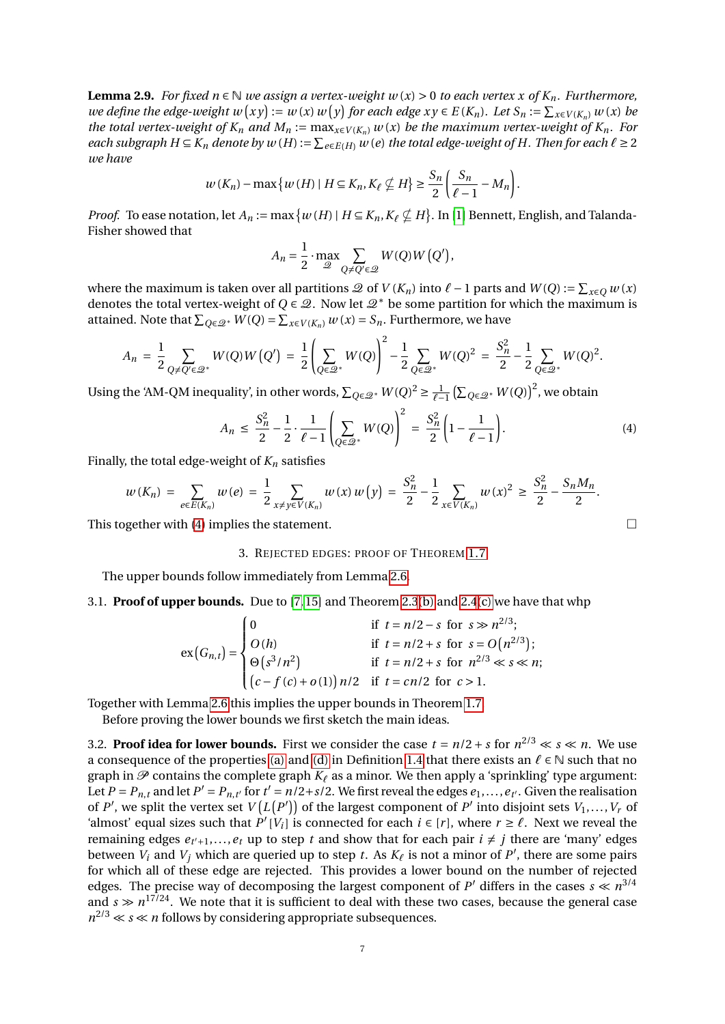**Lemma 2.9.** *For fixed n* ∈  $\mathbb N$  *we assign a vertex-weight w* (*x*) > 0 *to each vertex x of*  $K_n$ *. Furthermore,* we define the edge-weight  $w(xy) := w(x) w(y)$  for each edge  $xy \in E(K_n)$ . Let  $S_n := \sum_{x \in V(K_n)} w(x)$  be *the total vertex-weight of*  $K_n$  *and*  $M_n := \max_{x \in V(K_n)} w(x)$  *be the maximum vertex-weight of*  $K_n$ *. For each subgraph H* ⊆ *K*<sub>*n*</sub> *denote by*  $w(H) := \sum_{e \in E(H)} w(e)$  *the total edge-weight of H. Then for each*  $\ell \ge 2$ *we have*

$$
w(K_n) - \max\{w(H) \mid H \subseteq K_n, K_{\ell} \nsubseteq H\} \ge \frac{S_n}{2} \left(\frac{S_n}{\ell - 1} - M_n\right).
$$

*Proof.* To ease notation, let  $A_n := \max\{w(H) | H \subseteq K_n, K_\ell \nsubseteq H\}$ . In [\[1\]](#page-11-13) Bennett, English, and Talanda-Fisher showed that

$$
A_n = \frac{1}{2} \cdot \max_{\mathcal{Q}} \sum_{Q \neq Q' \in \mathcal{Q}} W(Q)W(Q'),
$$

where the maximum is taken over all partitions  $\mathcal{Q}$  of  $V(K_n)$  into  $\ell - 1$  parts and  $W(Q) := \sum_{x \in Q} w(x)$ denotes the total vertex-weight of  $Q \in \mathcal{Q}$ . Now let  $\mathcal{Q}^*$  be some partition for which the maximum is attained. Note that  $\sum_{Q \in \mathcal{Q}^*} W(Q) = \sum_{x \in V(K_n)} w(x) = S_n$ . Furthermore, we have

$$
A_n = \frac{1}{2} \sum_{Q \neq Q' \in \mathcal{Q}^*} W(Q) W(Q') = \frac{1}{2} \left( \sum_{Q \in \mathcal{Q}^*} W(Q) \right)^2 - \frac{1}{2} \sum_{Q \in \mathcal{Q}^*} W(Q)^2 = \frac{S_n^2}{2} - \frac{1}{2} \sum_{Q \in \mathcal{Q}^*} W(Q)^2.
$$

Using the 'AM-QM inequality', in other words,  $\sum_{Q \in \mathcal{Q}^*} W(Q)^2 \geq \frac{1}{\ell-1} \left( \sum_{Q \in \mathcal{Q}^*} W(Q) \right)^2$ , we obtain

$$
A_n \le \frac{S_n^2}{2} - \frac{1}{2} \cdot \frac{1}{\ell - 1} \left( \sum_{Q \in \mathcal{Q}^*} W(Q) \right)^2 = \frac{S_n^2}{2} \left( 1 - \frac{1}{\ell - 1} \right). \tag{4}
$$

Finally, the total edge-weight of  $K_n$  satisfies

$$
w(K_n) = \sum_{e \in E(K_n)} w(e) = \frac{1}{2} \sum_{x \neq y \in V(K_n)} w(x) w(y) = \frac{S_n^2}{2} - \frac{1}{2} \sum_{x \in V(K_n)} w(x)^2 \ge \frac{S_n^2}{2} - \frac{S_n M_n}{2}.
$$

<span id="page-6-0"></span>This together with [\(4\)](#page-6-1) implies the statement.  $\Box$ 

## 3. REJECTED EDGES: PROOF OF THEOREM [1.7](#page-2-0)

The upper bounds follow immediately from Lemma [2.6.](#page-5-1)

#### 3.1. **Proof of upper bounds.** Due to [\[7,](#page-11-14) [15\]](#page-12-14) and Theorem [2.3](#page-4-7)[\(b\)](#page-4-3) and [2.4](#page-4-8)[\(c\)](#page-5-2) we have that whp

$$
\exp(G_{n,t}) = \begin{cases}\n0 & \text{if } t = n/2 - s \text{ for } s \gg n^{2/3}; \\
O(h) & \text{if } t = n/2 + s \text{ for } s = O(n^{2/3}); \\
\Theta(s^3/n^2) & \text{if } t = n/2 + s \text{ for } n^{2/3} \ll s \ll n; \\
(c - f(c) + o(1))n/2 & \text{if } t = cn/2 \text{ for } c > 1.\n\end{cases}
$$

Together with Lemma [2.6](#page-5-1) this implies the upper bounds in Theorem [1.7.](#page-2-0)

Before proving the lower bounds we first sketch the main ideas.

3.2. **Proof idea for lower bounds.** First we consider the case  $t = n/2 + s$  for  $n^{2/3} \ll s \ll n$ . We use a consequence of the properties [\(a\)](#page-1-4) and [\(d\)](#page-2-6) in Definition [1.4](#page-1-3) that there exists an  $\ell \in \mathbb{N}$  such that no graph in  $\mathcal P$  contains the complete graph  $K_\ell$  as a minor. We then apply a 'sprinkling' type argument: Let  $P = P_{n,t}$  and let  $P' = P_{n,t'}$  for  $t' = n/2 + s/2$ . We first reveal the edges  $e_1, \ldots, e_{t'}$ . Given the realisation of *P'*, we split the vertex set  $V(L(P'))$  of the largest component of *P'* into disjoint sets  $V_1, \ldots, V_r$  of 'almost' equal sizes such that  $\overrightarrow{P}'[V_i]$  is connected for each  $i \in [r]$ , where  $r \geq \ell$ . Next we reveal the remaining edges  $e_{t'+1},...,e_t$  up to step *t* and show that for each pair  $i \neq j$  there are 'many' edges between  $V_i$  and  $V_j$  which are queried up to step *t*. As  $K_\ell$  is not a minor of  $P'$ , there are some pairs for which all of these edge are rejected. This provides a lower bound on the number of rejected edges. The precise way of decomposing the largest component of  $P'$  differs in the cases  $s \ll n^{3/4}$ and  $s \gg n^{17/24}$ . We note that it is sufficient to deal with these two cases, because the general case  $n^{2/3} \ll s \ll n$  follows by considering appropriate subsequences.

<span id="page-6-1"></span>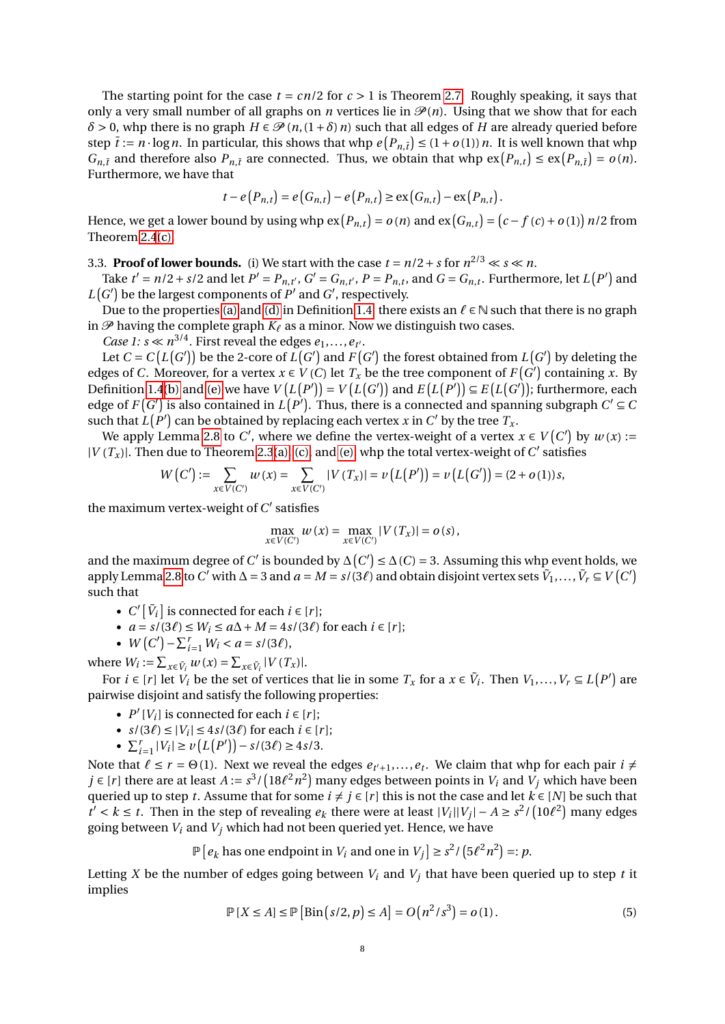The starting point for the case  $t = cn/2$  for  $c > 1$  is Theorem [2.7.](#page-5-3) Roughly speaking, it says that only a very small number of all graphs on *n* vertices lie in  $\mathcal{P}(n)$ . Using that we show that for each  $\delta$  > 0, whp there is no graph  $H \in \mathcal{P}(n, (1+\delta)n)$  such that all edges of *H* are already queried before step  $\bar{t} := n \cdot \log n$ . In particular, this shows that whp  $e(P_{n,\bar{t}}) \leq (1 + o(1)) n$ . It is well known that whp *G*<sub>*n*</sub>,*t*</sub> and therefore also  $P_{n,\bar{t}}$  are connected. Thus, we obtain that whp  $ex(P_{n,t}) \le ex(P_{n,\bar{t}}) = o(n)$ . Furthermore, we have that

$$
t - e(P_{n,t}) = e(G_{n,t}) - e(P_{n,t}) \ge \text{ex}(G_{n,t}) - \text{ex}(P_{n,t}).
$$

Hence, we get a lower bound by using whp  $ex(P_{n,t}) = o(n)$  and  $ex(G_{n,t}) = (c - f(c) + o(1))n/2$  from Theorem [2.4](#page-4-8)[\(c\).](#page-5-2)

3.3. **Proof of lower bounds.** (i) We start with the case  $t = n/2 + s$  for  $n^{2/3} \ll s \ll n$ .

Take  $t' = n/2 + s/2$  and let  $P' = P_{n,t'}$ ,  $G' = G_{n,t'}$ ,  $P = P_{n,t}$ , and  $G = G_{n,t}$ . Furthermore, let  $L(P')$  and  $L(G')$  be the largest components of  $P'$  and  $G'$ , respectively.

Due to the properties [\(a\)](#page-1-4) and [\(d\)](#page-2-6) in Definition [1.4,](#page-1-3) there exists an  $\ell \in \mathbb{N}$  such that there is no graph in  $\mathcal P$  having the complete graph  $K_\ell$  as a minor. Now we distinguish two cases.

*Case 1:*  $s \ll n^{3/4}$ . First reveal the edges  $e_1, \ldots, e_{t'}$ .

Let  $C = C(L(G'))$  be the 2-core of  $\overline{L}(G')$  and  $\overline{F}(G')$  the forest obtained from  $\overline{L}(G')$  by deleting the edges of *C*. Moreover, for a vertex  $x \in V(C)$  let  $T_x$  be the tree component of  $F(G')$  containing  $\overline{x}$ . By Definition [1.4](#page-1-3)[\(b\)](#page-1-6) and [\(e\)](#page-2-5) we have  $V(L(P')) = V(L(G'))$  and  $E(L(P')) \subseteq E(L(G'))$ ; furthermore, each edge of  $F(G')$  is also contained in  $\widehat{L(P')}$ . Thus, there is a connected and spanning subgraph  $C' \subseteq C$ such that  $\hat{L}(P')$  can be obtained by replacing each vertex *x* in *C'* by the tree  $T_x$ .

We apply Lemma [2.8](#page-5-4) to *C'*, where we define the vertex-weight of a vertex  $x \in V(C')$  by  $w(x)$ :=  $|V(T_x)|$ . Then due to Theorem [2.3](#page-4-7)[\(a\),](#page-4-2) [\(c\),](#page-4-6) and [\(e\),](#page-4-5) whp the total vertex-weight of *C*' satisfies

$$
W(C') := \sum_{x \in V(C')} w(x) = \sum_{x \in V(C')} |V(T_x)| = \nu(L(P')) = \nu(L(G')) = (2 + o(1))s,
$$

the maximum vertex-weight of  $C'$  satisfies

$$
\max_{x \in V(C')} w(x) = \max_{x \in V(C')} |V(T_x)| = o(s),
$$

and the maximum degree of *C'* is bounded by  $\Delta(C')$  ≤  $\Delta(C)$  = 3. Assuming this whp event holds, we apply Lemma [2.8](#page-5-4) to C' with  $\Delta = 3$  and  $a = M = s/(3\ell)$  and obtain disjoint vertex sets  $\tilde{V}_1, \ldots, \tilde{V}_r \subseteq V(C')$ such that

- $C'[\tilde{V}_i]$  is connected for each  $i \in [r]$ ;
- $a = s/(3\ell) \le W_i \le a\Delta + M = 4s/(3\ell)$  for each  $i \in [r]$ ;
- $W(C') \sum_{i=1}^{r} W_i < a = s/(3\ell),$

where  $W_i := \sum_{x \in \tilde{V}_i} w(x) = \sum_{x \in \tilde{V}_i} |V(T_x)|$ .

For  $i \in [r]$  let  $V_i$  be the set of vertices that lie in some  $T_x$  for a  $x \in V_i$ . Then  $V_1, \ldots, V_r \subseteq L(P')$  are pairwise disjoint and satisfy the following properties:

- $P'[V_i]$  is connected for each  $i \in [r]$ ;
- $s/(3\ell) \le |V_i| \le 4s/(3\ell)$  for each  $i \in [r]$ ;
- $\sum_{i=1}^r |V_i| \ge \nu(L(P')) s/(3\ell) \ge 4s/3.$

Note that  $\ell \leq r = \Theta(1)$ . Next we reveal the edges  $e_{t'+1},...,e_t$ . We claim that whp for each pair  $i \neq$ *j* ∈ [*r*] there are at least *A* := *s*<sup>3</sup>/(18 $\ell^2 n^2$ ) many edges between points in  $V_i$  and  $V_j$  which have been queried up to step *t*. Assume that for some  $i \neq j \in [r]$  this is not the case and let  $k \in [N]$  be such that  $t' < k \leq t$ . Then in the step of revealing  $e_k$  there were at least  $|V_i||V_j| - A \geq s^2/(10\ell^2)$  many edges going between *V<sup>i</sup>* and *V<sup>j</sup>* which had not been queried yet. Hence, we have

 $\mathbb{P}\left[e_k \text{ has one endpoint in } V_i \text{ and one in } V_j\right] \geq s^2 / \left(5\ell^2 n^2\right) =: p.$ 

Letting *X* be the number of edges going between  $V_i$  and  $V_j$  that have been queried up to step *t* it implies

<span id="page-7-0"></span>
$$
\mathbb{P}[X \le A] \le \mathbb{P}[\text{Bin}(s/2, p) \le A] = O(n^2/s^3) = o(1).
$$
 (5)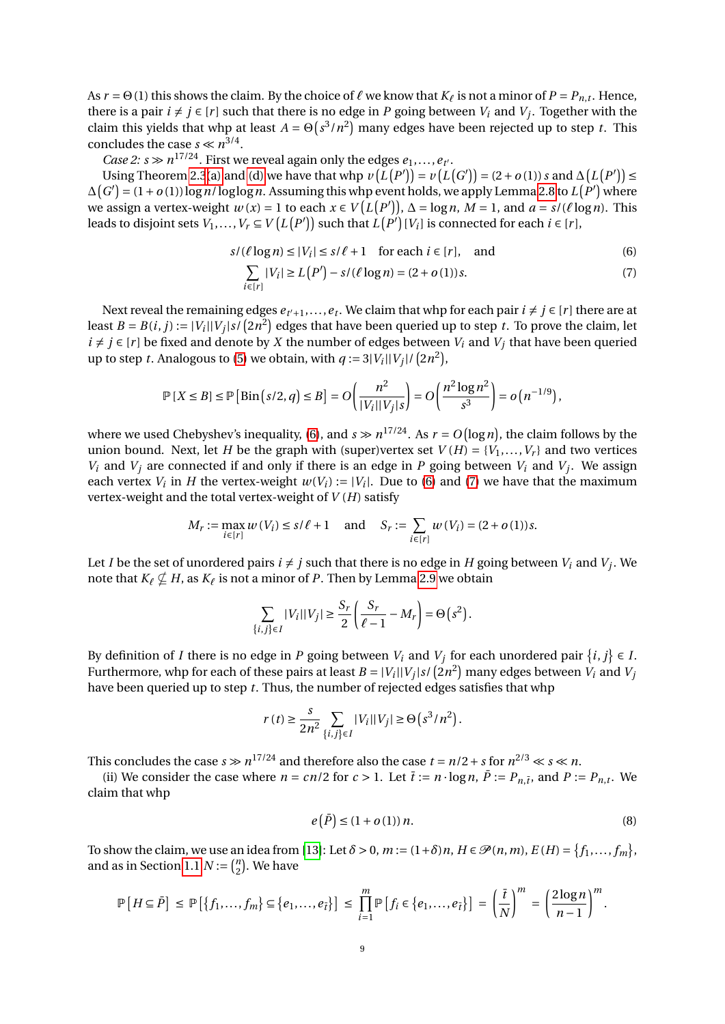As  $r = \Theta(1)$  this shows the claim. By the choice of  $\ell$  we know that  $K_{\ell}$  is not a minor of  $P = P_{n,t}$ . Hence, there is a pair  $i \neq j \in [r]$  such that there is no edge in *P* going between  $V_i$  and  $V_j$ . Together with the claim this yields that whp at least  $A = \Theta(s^3/n^2)$  many edges have been rejected up to step *t*. This concludes the case  $s \ll n^{3/4}$ .

*Case 2: s*  $\gg$   $n^{17/24}$ . First we reveal again only the edges  $e_1, \ldots, e_t$ .

Using Theorem [2.3](#page-4-7)[\(a\)](#page-4-2) and [\(d\)](#page-4-4) we have that whp  $v(L(P')) = v(L(G')) = (2 + o(1)) s$  and  $\Delta(L(P')) \le$  $\Delta(G') = (1+o(1))\log n/\log\log n$ . Assuming this whp event holds, we apply Lemma [2.8](#page-5-4) to  $L(P')$  where we assign a vertex-weight  $w(x) = 1$  to each  $x \in V(L(P'))$ ,  $\Delta = \log n$ ,  $M = 1$ , and  $a = s/(\ell \log n)$ . This leads to disjoint sets  $V_1,...,V_r\subseteq V\big(L\big(P'\big))$  such that  $L\big(P'\big)[V_i]$  is connected for each  $i\in [r],$ 

$$
s/(\ell \log n) \le |V_i| \le s/\ell + 1 \quad \text{for each } i \in [r], \quad \text{and} \tag{6}
$$

<span id="page-8-1"></span><span id="page-8-0"></span>
$$
\sum_{i \in [r]} |V_i| \ge L(P') - s/(\ell \log n) = (2 + o(1))s.
$$
 (7)

Next reveal the remaining edges  $e_{t'+1},...,e_t$ . We claim that whp for each pair  $i \neq j \in [r]$  there are at least  $B = B(i, j) := |V_i||V_j|s/\left(2n^2\right)$  edges that have been queried up to step  $t$ . To prove the claim, let *i* ≠ *j* ∈ [*r*] be fixed and denote by *X* the number of edges between  $V_i$  and  $V_j$  that have been queried up to step *t*. Analogous to [\(5\)](#page-7-0) we obtain, with  $q := 3|V_i||V_j|/(2n^2)$ ,

$$
\mathbb{P}[X \leq B] \leq \mathbb{P}\left[\mathrm{Bin}\left(s/2, q\right) \leq B\right] = O\left(\frac{n^2}{|V_i||V_j|s}\right) = O\left(\frac{n^2\log n^2}{s^3}\right) = o\left(n^{-1/9}\right),\,
$$

where we used Chebyshev's inequality, [\(6\)](#page-8-0), and  $s \gg n^{17/24}$ . As  $r = O(\log n)$ , the claim follows by the union bound. Next, let *H* be the graph with (super)vertex set  $V(H) = \{V_1, \ldots, V_r\}$  and two vertices *V*<sup>*i*</sup> and *V*<sup>*j*</sup> are connected if and only if there is an edge in *P* going between *V*<sup>*i*</sup> and *V*<sup>*j*</sup>. We assign each vertex  $V_i$  in *H* the vertex-weight  $w(V_i) := |V_i|$ . Due to [\(6\)](#page-8-0) and [\(7\)](#page-8-1) we have that the maximum vertex-weight and the total vertex-weight of *V* (*H*) satisfy

$$
M_r := \max_{i \in [r]} w(V_i) \le s/\ell + 1
$$
 and  $S_r := \sum_{i \in [r]} w(V_i) = (2 + o(1))s$ .

Let *I* be the set of unordered pairs  $i \neq j$  such that there is no edge in *H* going between  $V_i$  and  $V_j$ . We note that  $K_\ell \nsubseteq H$ , as  $K_\ell$  is not a minor of *P*. Then by Lemma [2.9](#page-5-5) we obtain

$$
\sum_{\{i,j\}\in I} |V_i||V_j| \ge \frac{S_r}{2} \left(\frac{S_r}{\ell-1} - M_r\right) = \Theta\left(s^2\right).
$$

By definition of *I* there is no edge in *P* going between  $V_i$  and  $V_j$  for each unordered pair  $\{i, j\} \in I$ . Furthermore, whp for each of these pairs at least  $B = |V_i||V_j|s/\left(2n^2\right)$  many edges between  $V_i$  and  $V_j$ have been queried up to step *t*. Thus, the number of rejected edges satisfies that whp

$$
r(t) \ge \frac{s}{2n^2} \sum_{\{i,j\} \in I} |V_i| |V_j| \ge \Theta\left(s^3/n^2\right).
$$

This concludes the case  $s \gg n^{17/24}$  and therefore also the case  $t = n/2 + s$  for  $n^{2/3} \ll s \ll n$ .

(ii) We consider the case where  $n = cn/2$  for  $c > 1$ . Let  $\bar{t} := n \cdot \log n$ ,  $\bar{P} := P_{n,\bar{t}}$ , and  $P := P_{n,t}$ . We claim that whp

<span id="page-8-2"></span>
$$
e(\bar{P}) \le (1 + o(1)) n. \tag{8}
$$

To show the claim, we use an idea from [\[13\]](#page-11-9): Let  $\delta > 0$ ,  $m := (1 + \delta)n$ ,  $H \in \mathcal{P}(n, m)$ ,  $E(H) = \{f_1, \ldots, f_m\}$ , and as in Section [1.1](#page-0-1)  $N := \binom{n}{2}$  $n/2$ ). We have

$$
\mathbb{P}\left[H \subseteq \overline{P}\right] \leq \mathbb{P}\left[\left\{f_1,\ldots,f_m\right\} \subseteq \left\{e_1,\ldots,e_{\overline{t}}\right\}\right] \leq \prod_{i=1}^m \mathbb{P}\left[f_i \in \left\{e_1,\ldots,e_{\overline{t}}\right\}\right] = \left(\frac{\overline{t}}{N}\right)^m = \left(\frac{2\log n}{n-1}\right)^m.
$$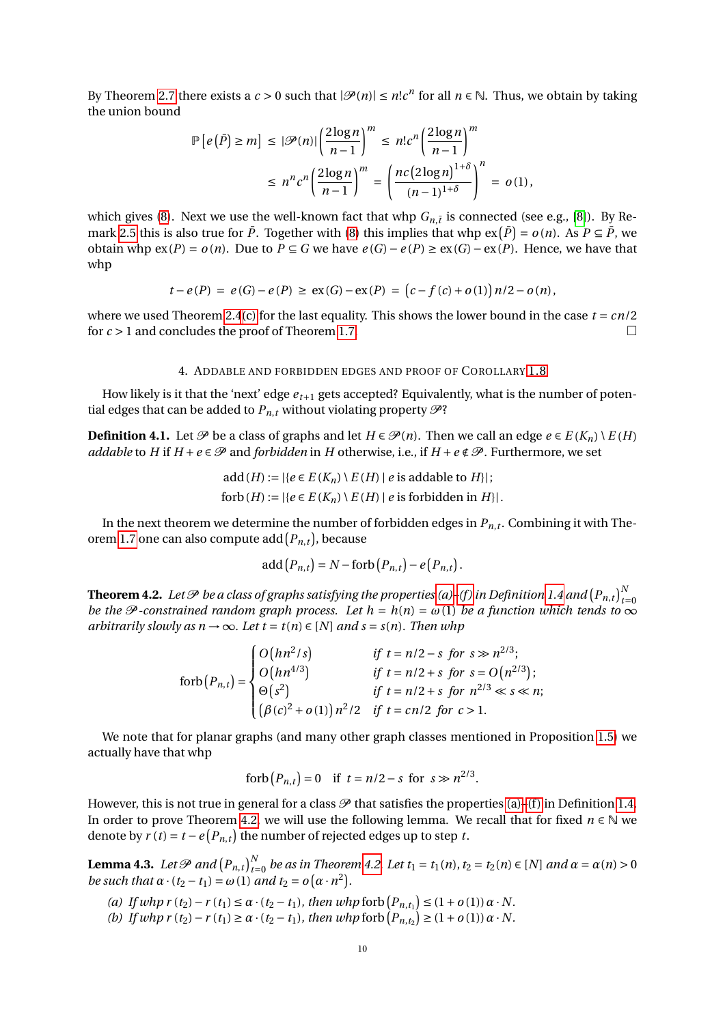By Theorem [2.7](#page-5-3) there exists a  $c > 0$  such that  $|\mathcal{P}(n)| \leq n! c^n$  for all  $n \in \mathbb{N}$ . Thus, we obtain by taking the union bound

$$
\mathbb{P}\left[e\left(\bar{P}\right) \ge m\right] \le |\mathcal{P}(n)| \left(\frac{2\log n}{n-1}\right)^m \le n! c^n \left(\frac{2\log n}{n-1}\right)^m
$$
  

$$
\le n^n c^n \left(\frac{2\log n}{n-1}\right)^m = \left(\frac{nc \left(2\log n\right)^{1+\delta}}{(n-1)^{1+\delta}}\right)^n = o(1),
$$

which gives [\(8\)](#page-8-2). Next we use the well-known fact that whp  $G_{n,\bar{i}}$  is connected (see e.g., [\[8\]](#page-11-0)). By Re-mark [2.5](#page-5-0) this is also true for  $\bar{P}$ . Together with [\(8\)](#page-8-2) this implies that whp  $ex(\bar{P}) = o(n)$ . As  $P \subseteq \bar{P}$ , we obtain whp  $ex(P) = o(n)$ . Due to  $P ⊆ G$  we have  $e(G) - e(P) \ge ex(G) - ex(P)$ . Hence, we have that whp

$$
t - e(P) = e(G) - e(P) \ge \exp(G) - \exp(P) = (c - f(c) + o(1)) n/2 - o(n),
$$

where we used Theorem [2.4](#page-4-8)[\(c\)](#page-5-2) for the last equality. This shows the lower bound in the case  $t = cn/2$ for  $c > 1$  and concludes the proof of Theorem [1.7.](#page-2-0)

### 4. ADDABLE AND FORBIDDEN EDGES AND PROOF OF COROLLARY [1.8](#page-2-3)

<span id="page-9-0"></span>How likely is it that the 'next' edge *et*+<sup>1</sup> gets accepted? Equivalently, what is the number of potential edges that can be added to  $P_{n,t}$  without violating property  $\mathcal{P}$ ?

**Definition 4.1.** Let  $\mathcal{P}$  be a class of graphs and let  $H \in \mathcal{P}(n)$ . Then we call an edge  $e \in E(K_n) \setminus E(H)$ *addable* to *H* if  $H + e \in \mathcal{P}$  and *forbidden* in *H* otherwise, i.e., if  $H + e \notin \mathcal{P}$ . Furthermore, we set

$$
add(H) := |\{e \in E(K_n) \setminus E(H) \mid e \text{ is addable to } H\}|\;
$$
  
forb(H) := |\{e \in E(K\_n) \setminus E(H) \mid e \text{ is forbidden in } H\}|\.

In the next theorem we determine the number of forbidden edges in  $P_{n,t}$ . Combining it with The-orem [1.7](#page-2-0) one can also compute  $\text{add}\left(P_{n,t}\right)$ , because

$$
add(P_{n,t}) = N - forb(P_{n,t}) - e(P_{n,t}).
$$

<span id="page-9-1"></span>**Theorem 4.2.** Let  ${\mathscr P}$  be a class of graphs satisfying the properties [\(a\)–](#page-1-4)(f) in Definition [1.4](#page-1-3) and  $\left(P_{n,t}\right)_{t=0}^N$ *be the*  $\mathcal P$  *-constrained random graph process. Let*  $h = h(n) = \omega(1)$  *be a function which tends to*  $\infty$ *arbitrarily slowly as*  $n \rightarrow \infty$ *. Let*  $t = t(n) \in [N]$  *and*  $s = s(n)$ *. Then whp* 

$$
\text{forb}(P_{n,t}) = \begin{cases} O\big(hn^2/s\big) & \text{if } t = n/2 - s \text{ for } s \gg n^{2/3}; \\ O\big(hn^{4/3}\big) & \text{if } t = n/2 + s \text{ for } s = O\big(n^{2/3}\big); \\ \Theta\big(s^2\big) & \text{if } t = n/2 + s \text{ for } n^{2/3} \ll s \ll n; \\ \left(\beta(c)^2 + o(1)\right)n^2/2 & \text{if } t = cn/2 \text{ for } c > 1. \end{cases}
$$

We note that for planar graphs (and many other graph classes mentioned in Proposition [1.5\)](#page-2-1) we actually have that whp

forb 
$$
(P_{n,t}) = 0
$$
 if  $t = n/2 - s$  for  $s \gg n^{2/3}$ .

However, this is not true in general for a class  $\mathcal P$  that satisfies the properties [\(a\)](#page-1-4)–(f) in Definition [1.4.](#page-1-3) In order to prove Theorem [4.2,](#page-9-1) we will use the following lemma. We recall that for fixed *n* ∈ N we denote by  $r(t) = t - e(P_{n,t})$  the number of rejected edges up to step *t*.

<span id="page-9-4"></span>**Lemma 4.3.** Let  $\mathcal{P}$  and  $(P_{n,t})_{t=0}^N$  be as in Theorem [4.2.](#page-9-1) Let  $t_1 = t_1(n)$ ,  $t_2 = t_2(n) \in [N]$  and  $\alpha = \alpha(n) > 0$ *be such that*  $\alpha \cdot (t_2 - t_1) = \omega(1)$  *and*  $t_2 = o(\alpha \cdot n^2)$ *.* 

- <span id="page-9-2"></span> $(a)$  *If whp*  $r(t_2) - r(t_1) \leq a \cdot (t_2 - t_1)$ *, then whp* forb  $(P_{n,t_1}) \leq (1 + o(1)) \alpha \cdot N$ .
- <span id="page-9-3"></span>*(b) If whp*  $r(t_2) - r(t_1) \ge \alpha \cdot (t_2 - t_1)$ *, then whp* forb  $(P_{n,t_2}) \ge (1 + o(1)) \alpha \cdot N$ .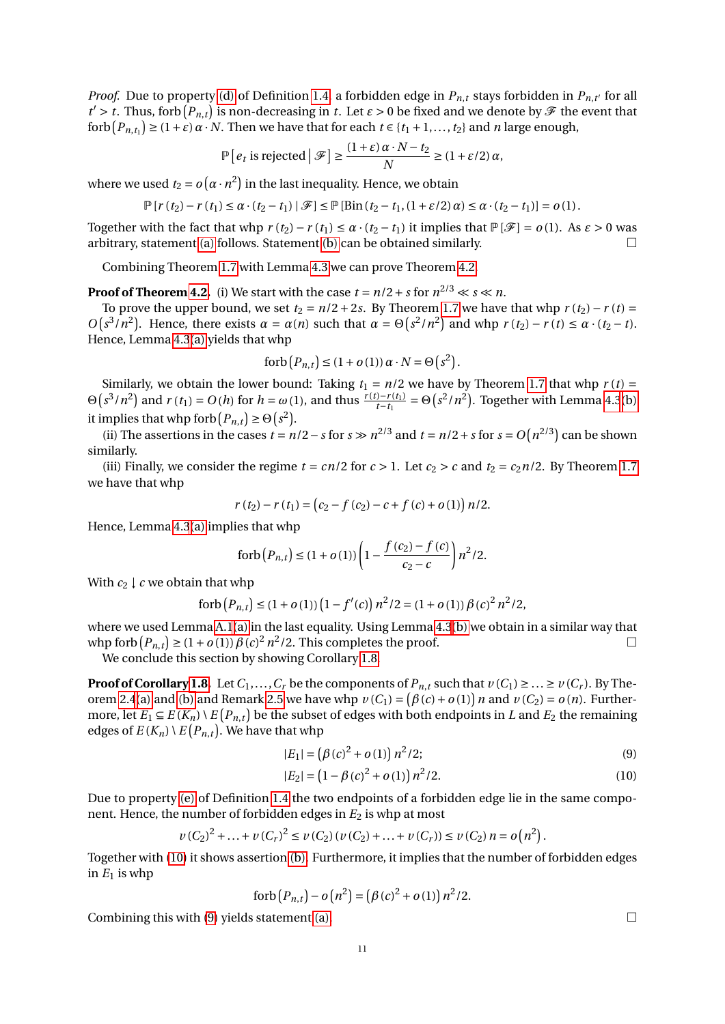*Proof.* Due to property [\(d\)](#page-2-6) of Definition [1.4,](#page-1-3) a forbidden edge in  $P_{n,t}$  stays forbidden in  $P_{n,t'}$  for all  $t' > t$ . Thus, forb  $(P_{n,t})$  is non-decreasing in *t*. Let  $\epsilon > 0$  be fixed and we denote by  $\mathscr F$  the event that  ${\rm forb}(P_{n,t_1}) \ge (1+\varepsilon)\alpha \cdot N$ . Then we have that for each  $t \in \{t_1+1,\ldots,t_2\}$  and *n* large enough,

$$
\mathbb{P}\left[e_t \text{ is rejected}\,\middle|\,\mathcal{F}\right] \ge \frac{(1+\varepsilon)\,\alpha \cdot N - t_2}{N} \ge (1+\varepsilon/2)\,\alpha,
$$

where we used  $t_2 = o(\alpha \cdot n^2)$  in the last inequality. Hence, we obtain

$$
\mathbb{P}\left[r\left(t_2\right)-r\left(t_1\right)\leq \alpha\cdot\left(t_2-t_1\right)\mid \mathscr{F}\right]\leq \mathbb{P}\left[\mathrm{Bin}\left(t_2-t_1,\left(1+\varepsilon/2\right)\alpha\right)\leq \alpha\cdot\left(t_2-t_1\right)\right]=o\left(1\right).
$$

Together with the fact that whp  $r(t_2) - r(t_1) \le \alpha \cdot (t_2 - t_1)$  it implies that  $\mathbb{P}[\mathscr{F}] = o(1)$ . As  $\varepsilon > 0$  was arbitrary, statement [\(a\)](#page-9-2) follows. Statement [\(b\)](#page-9-3) can be obtained similarly.  $\Box$ 

Combining Theorem [1.7](#page-2-0) with Lemma [4.3](#page-9-4) we can prove Theorem [4.2.](#page-9-1)

**Proof of Theorem [4.2.](#page-9-1)** (i) We start with the case  $t = n/2 + s$  for  $n^{2/3} \ll s \ll n$ .

To prove the upper bound, we set  $t_2 = n/2 + 2s$ . By Theorem [1.7](#page-2-0) we have that whp  $r(t_2) - r(t) =$  $O(s^3/n^2)$ . Hence, there exists  $\alpha = \alpha(n)$  such that  $\alpha = \Theta(s^2/n^2)$  and whp  $r(t_2) - r(t) \le \alpha \cdot (t_2 - t)$ . Hence, Lemma [4.3](#page-9-4)[\(a\)](#page-9-2) yields that whp

forb 
$$
(P_{n,t}) \le (1 + o(1)) \alpha \cdot N = \Theta(s^2)
$$
.

Similarly, we obtain the lower bound: Taking  $t_1 = n/2$  we have by Theorem [1.7](#page-2-0) that whp  $r(t) =$  $\Theta(s^3/n^2)$  and  $r(t_1) = O(h)$  for  $h = \omega(1)$ , and thus  $\frac{r(t)-r(t_1)}{t-t_1} = \Theta(s^2/n^2)$ . Together with Lemma [4.3](#page-9-4)[\(b\)](#page-9-3) it implies that whp forb  $(P_{n,t}) \geq \Theta(s^2)$ .

(ii) The assertions in the cases  $t = n/2 - s$  for  $s \gg n^{2/3}$  and  $t = n/2 + s$  for  $s = O(n^{2/3})$  can be shown similarly.

(iii) Finally, we consider the regime  $t = cn/2$  for  $c > 1$ . Let  $c_2 > c$  and  $t_2 = c_2n/2$ . By Theorem [1.7](#page-2-0) we have that whp

$$
r(t_2) - r(t_1) = (c_2 - f(c_2) - c + f(c) + o(1)) n/2.
$$

Hence, Lemma [4.3](#page-9-4)[\(a\)](#page-9-2) implies that whp

forb 
$$
(P_{n,t}) \le (1 + o(1)) \left(1 - \frac{f(c_2) - f(c)}{c_2 - c}\right) n^2 / 2.
$$

With  $c_2 \downarrow c$  we obtain that whp

forb 
$$
(P_{n,t}) \le (1 + o(1))(1 - f'(c)) n^2/2 = (1 + o(1)) \beta(c)^2 n^2/2,
$$

where we used Lemma [A.1](#page-13-0)[\(a\)](#page-13-2) in the last equality. Using Lemma [4.3](#page-9-4)[\(b\)](#page-9-3) we obtain in a similar way that  $\text{whp forb} (P_{n,t}) \geq (1 + o(1)) \beta(c)^2 n^2/2.$  This completes the proof. □

We conclude this section by showing Corollary [1.8.](#page-2-3)

**Proof of Corollary [1.8.](#page-2-3)** Let  $C_1, \ldots, C_r$  be the components of  $P_{n,t}$  such that  $v(C_1) \geq \ldots \geq v(C_r)$ . By The-orem [2.4](#page-4-8)[\(a\)](#page-5-6) and [\(b\)](#page-5-7) and Remark [2.5](#page-5-0) we have whp  $v(C_1) = (\beta(c) + o(1))n$  and  $v(C_2) = o(n)$ . Furthermore, let  $E_1 \subseteq E(K_n) \setminus E(P_{n,t})$  be the subset of edges with both endpoints in *L* and  $E_2$  the remaining edges of  $E(K_n) \setminus E(P_{n,t})$ . We have that whp

$$
|E_1| = (\beta(c)^2 + o(1)) n^2 / 2; \tag{9}
$$

$$
|E_2| = (1 - \beta(c)^2 + o(1)) n^2 / 2.
$$
 (10)

Due to property [\(e\)](#page-2-5) of Definition [1.4](#page-1-3) the two endpoints of a forbidden edge lie in the same component. Hence, the number of forbidden edges in *E*<sup>2</sup> is whp at most

$$
\nu(C_2)^2 + \ldots + \nu(C_r)^2 \le \nu(C_2)(\nu(C_2) + \ldots + \nu(C_r)) \le \nu(C_2)n = o\left(n^2\right).
$$

Together with [\(10\)](#page-10-0) it shows assertion [\(b\).](#page-3-3) Furthermore, it implies that the number of forbidden edges in  $E_1$  is whp

forb 
$$
(P_{n,t}) - o(n^2) = (\beta(c)^2 + o(1)) n^2/2
$$
.

Combining this with [\(9\)](#page-10-1) yields statement [\(a\).](#page-3-4)  $\Box$ 

<span id="page-10-1"></span><span id="page-10-0"></span>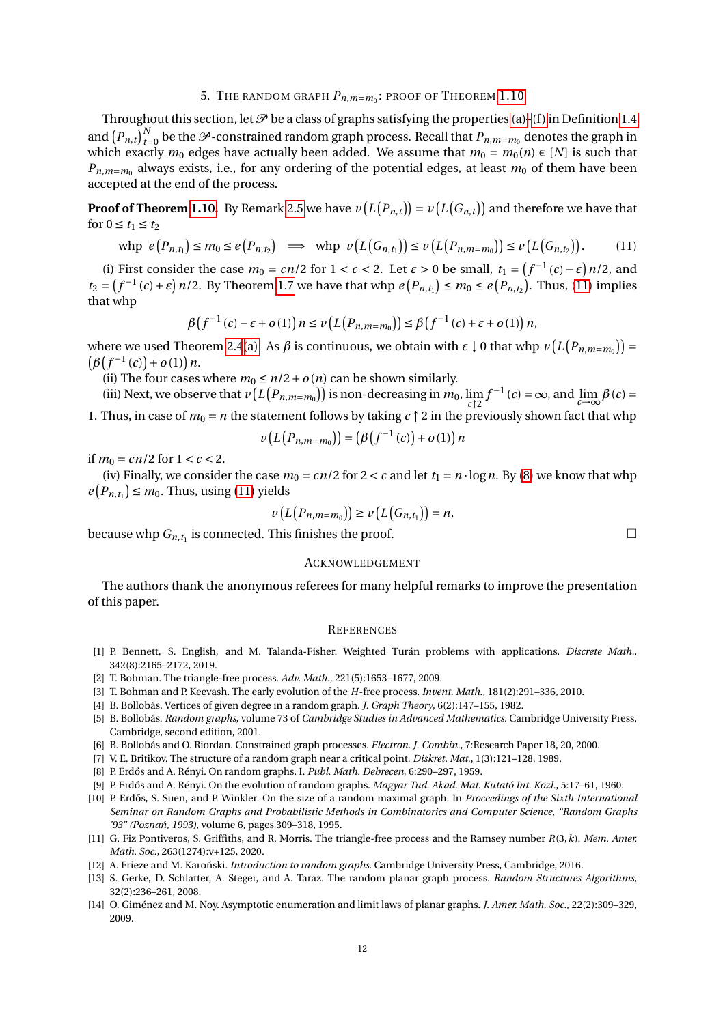# 5. THE RANDOM GRAPH *Pn*,*m*=*m*<sup>0</sup> : PROOF OF THEOREM [1.10](#page-3-0)

<span id="page-11-11"></span>Throughout this section, let  $P$  be a class of graphs satisfying the properties [\(a\)](#page-1-4)–(f) in Definition [1.4](#page-1-3) and  $(P_{n,t})_{t=0}^N$  be the  $\mathscr P$ -constrained random graph process. Recall that  $P_{n,m=m_0}$  denotes the graph in which exactly  $m_0$  edges have actually been added. We assume that  $m_0 = m_0(n) \in [N]$  is such that  $P_{n,m=m_0}$  always exists, i.e., for any ordering of the potential edges, at least  $m_0$  of them have been accepted at the end of the process.

**Proof of Theorem [1.10.](#page-3-0)** By Remark [2.5](#page-5-0) we have  $v(L(P_{n,t})) = v(L(G_{n,t}))$  and therefore we have that for  $0 \le t_1 \le t_2$ 

$$
\text{whp } e(P_{n,t_1}) \le m_0 \le e(P_{n,t_2}) \implies \text{whp } v(L(G_{n,t_1})) \le v(L(P_{n,m=m_0})) \le v(L(G_{n,t_2})). \tag{11}
$$

(i) First consider the case  $m_0 = cn/2$  for  $1 < c < 2$ . Let  $\varepsilon > 0$  be small,  $t_1 = (f^{-1}(c) - \varepsilon) n/2$ , and  $t_2 = (f^{-1}(c) + \varepsilon) n/2$ . By Theorem [1.7](#page-2-0) we have that whp  $e(P_{n,t_1}) \le m_0 \le e(P_{n,t_2})$ . Thus, [\(11\)](#page-11-15) implies that whp

$$
\beta\big(f^{-1}(c)-\varepsilon+o(1)\big)\,n\leq\nu\big(L\big(P_{n,m=m_0}\big)\big)\leq\beta\big(f^{-1}(c)+\varepsilon+o(1)\big)\,n,
$$

where we used Theorem [2.4](#page-4-8)[\(a\).](#page-5-6) As  $\beta$  is continuous, we obtain with  $\varepsilon \downarrow 0$  that whp  $v\left( L\left( P_{n,m=m_{0}}\right) \right) =$  $(\beta(f^{-1}(c)) + o(1)) n$ .

(ii) The four cases where  $m_0 \le n/2 + o(n)$  can be shown similarly.

(iii) Next, we observe that  $v(L(P_{n,m=m_0}))$  is non-decreasing in  $m_0$ ,  $\lim_{c \to 2} f^{-1}(c) = \infty$ , and  $\lim_{c \to \infty} \beta(c) =$ 

1. Thus, in case of  $m_0 = n$  the statement follows by taking  $c \uparrow 2$  in the previously shown fact that whp

$$
\nu(L(P_{n,m=m_0})) = (\beta(f^{-1}(c)) + o(1)) n
$$

if  $m_0 = cn/2$  for  $1 < c < 2$ .

(iv) Finally, we consider the case  $m_0 = cn/2$  for  $2 < c$  and let  $t_1 = n \cdot \log n$ . By [\(8\)](#page-8-2) we know that whp  $e(P_{n,t_1}) \leq m_0$ . Thus, using [\(11\)](#page-11-15) yields

$$
\nu\left(L\left(P_{n,m=m_0}\right)\right)\geq \nu\left(L\left(G_{n,t_1}\right)\right)=n,
$$

because whp  $G_{n,t_1}$  is connected. This finishes the proof.

## ACKNOWLEDGEMENT

The authors thank the anonymous referees for many helpful remarks to improve the presentation of this paper.

#### **REFERENCES**

- <span id="page-11-13"></span>[1] P. Bennett, S. English, and M. Talanda-Fisher. Weighted Turán problems with applications. *Discrete Math.*, 342(8):2165–2172, 2019.
- <span id="page-11-4"></span>[2] T. Bohman. The triangle-free process. *Adv. Math.*, 221(5):1653–1677, 2009.
- <span id="page-11-7"></span>[3] T. Bohman and P. Keevash. The early evolution of the *H*-free process. *Invent. Math.*, 181(2):291–336, 2010.
- <span id="page-11-12"></span>[4] B. Bollobás. Vertices of given degree in a random graph. *J. Graph Theory*, 6(2):147–155, 1982.
- <span id="page-11-2"></span>[5] B. Bollobás. *Random graphs*, volume 73 of *Cambridge Studies in Advanced Mathematics*. Cambridge University Press, Cambridge, second edition, 2001.
- <span id="page-11-8"></span>[6] B. Bollobás and O. Riordan. Constrained graph processes. *Electron. J. Combin.*, 7:Research Paper 18, 20, 2000.
- <span id="page-11-14"></span>[7] V. E. Britikov. The structure of a random graph near a critical point. *Diskret. Mat.*, 1(3):121–128, 1989.
- <span id="page-11-0"></span>[8] P. Erd˝os and A. Rényi. On random graphs. I. *Publ. Math. Debrecen*, 6:290–297, 1959.
- <span id="page-11-1"></span>[9] P. Erd˝os and A. Rényi. On the evolution of random graphs. *Magyar Tud. Akad. Mat. Kutató Int. Közl.*, 5:17–61, 1960.
- <span id="page-11-5"></span>[10] P. Erdős, S. Suen, and P. Winkler. On the size of a random maximal graph. In *Proceedings of the Sixth International Seminar on Random Graphs and Probabilistic Methods in Combinatorics and Computer Science, "Random Graphs '93" (Pozna´n, 1993)*, volume 6, pages 309–318, 1995.
- <span id="page-11-6"></span>[11] G. Fiz Pontiveros, S. Griffiths, and R. Morris. The triangle-free process and the Ramsey number *R*(3,*k*). *Mem. Amer. Math. Soc.*, 263(1274):v+125, 2020.
- <span id="page-11-3"></span>[12] A. Frieze and M. Karoński. *Introduction to random graphs*. Cambridge University Press, Cambridge, 2016.
- <span id="page-11-9"></span>[13] S. Gerke, D. Schlatter, A. Steger, and A. Taraz. The random planar graph process. *Random Structures Algorithms*, 32(2):236–261, 2008.
- <span id="page-11-10"></span>[14] O. Giménez and M. Noy. Asymptotic enumeration and limit laws of planar graphs. *J. Amer. Math. Soc.*, 22(2):309–329, 2009.

<span id="page-11-15"></span>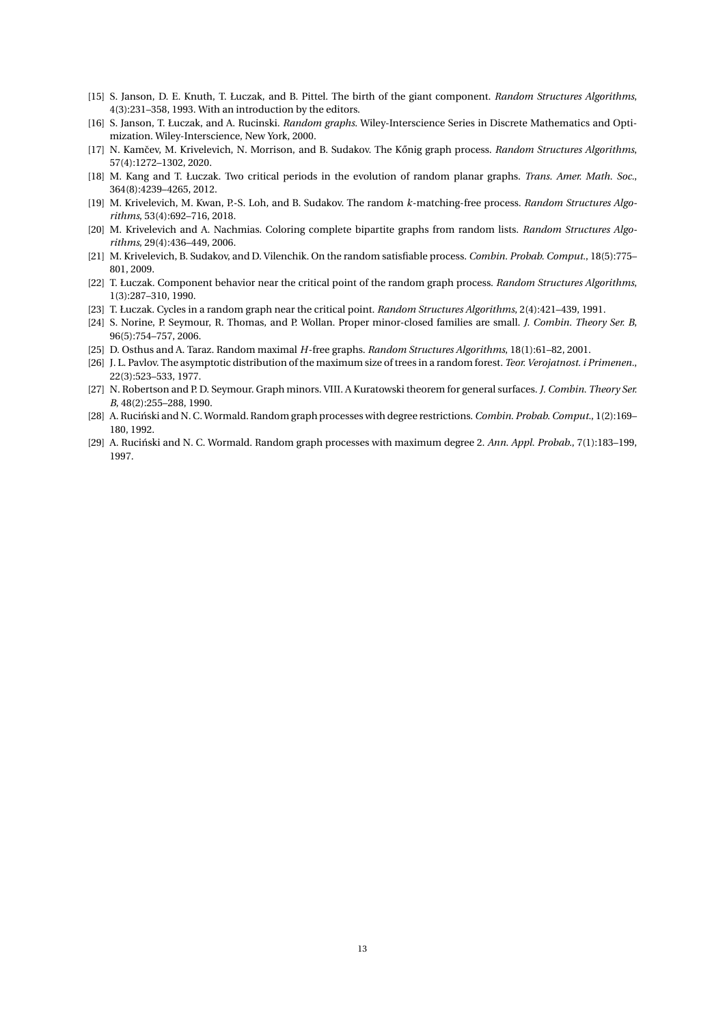- <span id="page-12-14"></span>[15] S. Janson, D. E. Knuth, T. Łuczak, and B. Pittel. The birth of the giant component. *Random Structures Algorithms*, 4(3):231–358, 1993. With an introduction by the editors.
- <span id="page-12-0"></span>[16] S. Janson, T. Łuczak, and A. Rucinski. *Random graphs*. Wiley-Interscience Series in Discrete Mathematics and Optimization. Wiley-Interscience, New York, 2000.
- <span id="page-12-6"></span>[17] N. Kamˇcev, M. Krivelevich, N. Morrison, and B. Sudakov. The K˝onig graph process. *Random Structures Algorithms*, 57(4):1272–1302, 2020.
- <span id="page-12-8"></span>[18] M. Kang and T. Łuczak. Two critical periods in the evolution of random planar graphs. *Trans. Amer. Math. Soc.*, 364(8):4239–4265, 2012.
- <span id="page-12-5"></span>[19] M. Krivelevich, M. Kwan, P.-S. Loh, and B. Sudakov. The random *k*-matching-free process. *Random Structures Algorithms*, 53(4):692–716, 2018.
- <span id="page-12-13"></span>[20] M. Krivelevich and A. Nachmias. Coloring complete bipartite graphs from random lists. *Random Structures Algorithms*, 29(4):436–449, 2006.
- <span id="page-12-4"></span>[21] M. Krivelevich, B. Sudakov, and D. Vilenchik. On the random satisfiable process. *Combin. Probab. Comput.*, 18(5):775– 801, 2009.
- <span id="page-12-9"></span>[22] T. Łuczak. Component behavior near the critical point of the random graph process. *Random Structures Algorithms*, 1(3):287–310, 1990.
- <span id="page-12-10"></span>[23] T. Łuczak. Cycles in a random graph near the critical point. *Random Structures Algorithms*, 2(4):421–439, 1991.
- <span id="page-12-12"></span>[24] S. Norine, P. Seymour, R. Thomas, and P. Wollan. Proper minor-closed families are small. *J. Combin. Theory Ser. B*, 96(5):754–757, 2006.
- <span id="page-12-1"></span>[25] D. Osthus and A. Taraz. Random maximal *H*-free graphs. *Random Structures Algorithms*, 18(1):61–82, 2001.
- <span id="page-12-11"></span>[26] J. L. Pavlov. The asymptotic distribution of the maximum size of trees in a random forest. *Teor. Verojatnost. i Primenen.*, 22(3):523–533, 1977.
- <span id="page-12-7"></span>[27] N. Robertson and P. D. Seymour. Graph minors. VIII. A Kuratowski theorem for general surfaces. *J. Combin. Theory Ser. B*, 48(2):255–288, 1990.
- <span id="page-12-2"></span>[28] A. Ruciński and N. C. Wormald. Random graph processes with degree restrictions. *Combin. Probab. Comput.*, 1(2):169– 180, 1992.
- <span id="page-12-3"></span>[29] A. Ruciński and N. C. Wormald. Random graph processes with maximum degree 2. *Ann. Appl. Probab.*, 7(1):183–199, 1997.